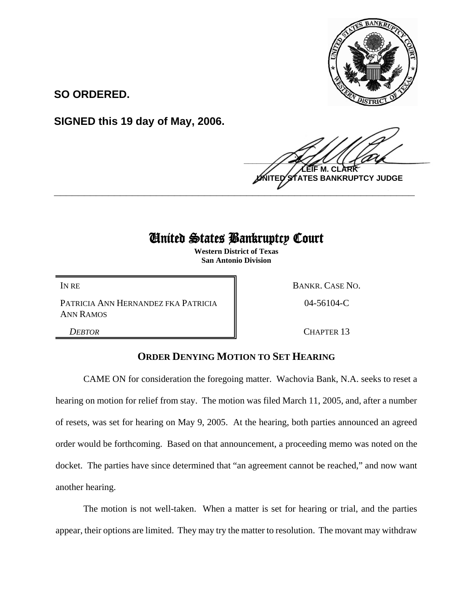

**SO ORDERED.**

**SIGNED this 19 day of May, 2006.**

 $\frac{1}{2}$ **M. TES BANKRUPTCY JUDGE \_\_\_\_\_\_\_\_\_\_\_\_\_\_\_\_\_\_\_\_\_\_\_\_\_\_\_\_\_\_\_\_\_\_\_\_\_\_\_\_\_\_\_\_\_\_\_\_\_\_\_\_\_\_\_\_\_\_\_\_**

## United States Bankruptcy Court

**Western District of Texas San Antonio Division**

PATRICIA ANN HERNANDEZ FKA PATRICIA ANN RAMOS

IN RE BANKR. CASE NO.

04-56104-C

**DEBTOR** CHAPTER 13

## **ORDER DENYING MOTION TO SET HEARING**

CAME ON for consideration the foregoing matter. Wachovia Bank, N.A. seeks to reset a hearing on motion for relief from stay. The motion was filed March 11, 2005, and, after a number of resets, was set for hearing on May 9, 2005. At the hearing, both parties announced an agreed order would be forthcoming. Based on that announcement, a proceeding memo was noted on the docket. The parties have since determined that "an agreement cannot be reached," and now want another hearing.

The motion is not well-taken. When a matter is set for hearing or trial, and the parties appear, their options are limited. They may try the matter to resolution. The movant may withdraw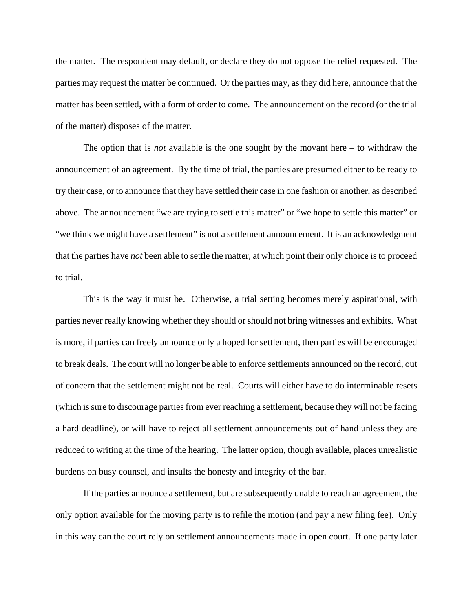the matter. The respondent may default, or declare they do not oppose the relief requested. The parties may request the matter be continued. Or the parties may, as they did here, announce that the matter has been settled, with a form of order to come. The announcement on the record (or the trial of the matter) disposes of the matter.

The option that is *not* available is the one sought by the movant here – to withdraw the announcement of an agreement. By the time of trial, the parties are presumed either to be ready to try their case, or to announce that they have settled their case in one fashion or another, as described above. The announcement "we are trying to settle this matter" or "we hope to settle this matter" or "we think we might have a settlement" is not a settlement announcement. It is an acknowledgment that the parties have *not* been able to settle the matter, at which point their only choice is to proceed to trial.

This is the way it must be. Otherwise, a trial setting becomes merely aspirational, with parties never really knowing whether they should or should not bring witnesses and exhibits. What is more, if parties can freely announce only a hoped for settlement, then parties will be encouraged to break deals. The court will no longer be able to enforce settlements announced on the record, out of concern that the settlement might not be real. Courts will either have to do interminable resets (which is sure to discourage parties from ever reaching a settlement, because they will not be facing a hard deadline), or will have to reject all settlement announcements out of hand unless they are reduced to writing at the time of the hearing. The latter option, though available, places unrealistic burdens on busy counsel, and insults the honesty and integrity of the bar.

If the parties announce a settlement, but are subsequently unable to reach an agreement, the only option available for the moving party is to refile the motion (and pay a new filing fee). Only in this way can the court rely on settlement announcements made in open court. If one party later